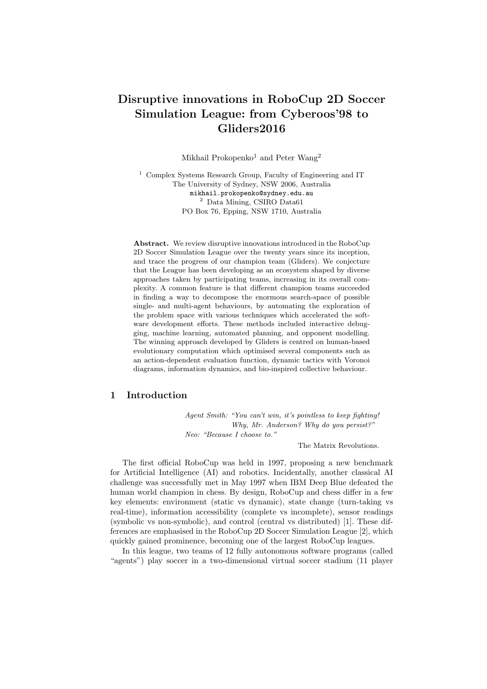# Disruptive innovations in RoboCup 2D Soccer Simulation League: from Cyberoos'98 to Gliders2016

Mikhail Prokopenko<sup>1</sup> and Peter Wang<sup>2</sup>

<sup>1</sup> Complex Systems Research Group, Faculty of Engineering and IT The University of Sydney, NSW 2006, Australia mikhail.prokopenko@sydney.edu.au <sup>2</sup> Data Mining, CSIRO Data61 PO Box 76, Epping, NSW 1710, Australia

Abstract. We review disruptive innovations introduced in the RoboCup 2D Soccer Simulation League over the twenty years since its inception, and trace the progress of our champion team (Gliders). We conjecture that the League has been developing as an ecosystem shaped by diverse approaches taken by participating teams, increasing in its overall complexity. A common feature is that different champion teams succeeded in finding a way to decompose the enormous search-space of possible single- and multi-agent behaviours, by automating the exploration of the problem space with various techniques which accelerated the software development efforts. These methods included interactive debugging, machine learning, automated planning, and opponent modelling. The winning approach developed by Gliders is centred on human-based evolutionary computation which optimised several components such as an action-dependent evaluation function, dynamic tactics with Voronoi diagrams, information dynamics, and bio-inspired collective behaviour.

# 1 Introduction

Agent Smith: "You can't win, it's pointless to keep fighting! Why, Mr. Anderson? Why do you persist?" Neo: "Because I choose to."

The Matrix Revolutions.

The first official RoboCup was held in 1997, proposing a new benchmark for Artificial Intelligence (AI) and robotics. Incidentally, another classical AI challenge was successfully met in May 1997 when IBM Deep Blue defeated the human world champion in chess. By design, RoboCup and chess differ in a few key elements: environment (static vs dynamic), state change (turn-taking vs real-time), information accessibility (complete vs incomplete), sensor readings (symbolic vs non-symbolic), and control (central vs distributed) [1]. These differences are emphasised in the RoboCup 2D Soccer Simulation League [2], which quickly gained prominence, becoming one of the largest RoboCup leagues.

In this league, two teams of 12 fully autonomous software programs (called "agents") play soccer in a two-dimensional virtual soccer stadium (11 player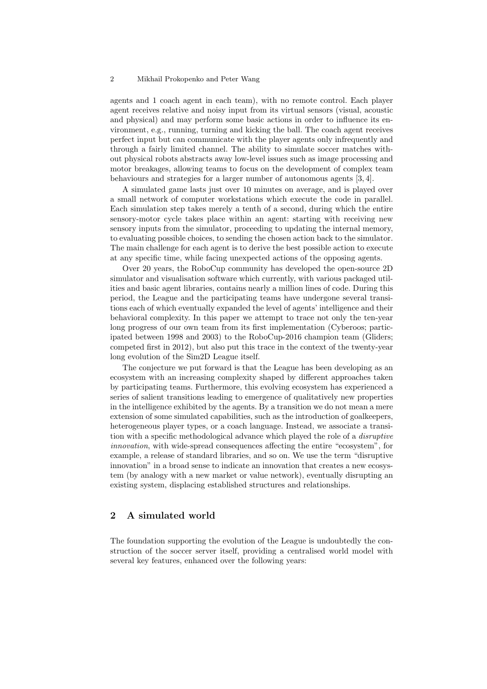agents and 1 coach agent in each team), with no remote control. Each player agent receives relative and noisy input from its virtual sensors (visual, acoustic and physical) and may perform some basic actions in order to influence its environment, e.g., running, turning and kicking the ball. The coach agent receives perfect input but can communicate with the player agents only infrequently and through a fairly limited channel. The ability to simulate soccer matches without physical robots abstracts away low-level issues such as image processing and motor breakages, allowing teams to focus on the development of complex team behaviours and strategies for a larger number of autonomous agents [3, 4].

A simulated game lasts just over 10 minutes on average, and is played over a small network of computer workstations which execute the code in parallel. Each simulation step takes merely a tenth of a second, during which the entire sensory-motor cycle takes place within an agent: starting with receiving new sensory inputs from the simulator, proceeding to updating the internal memory, to evaluating possible choices, to sending the chosen action back to the simulator. The main challenge for each agent is to derive the best possible action to execute at any specific time, while facing unexpected actions of the opposing agents.

Over 20 years, the RoboCup community has developed the open-source 2D simulator and visualisation software which currently, with various packaged utilities and basic agent libraries, contains nearly a million lines of code. During this period, the League and the participating teams have undergone several transitions each of which eventually expanded the level of agents' intelligence and their behavioral complexity. In this paper we attempt to trace not only the ten-year long progress of our own team from its first implementation (Cyberoos; participated between 1998 and 2003) to the RoboCup-2016 champion team (Gliders; competed first in 2012), but also put this trace in the context of the twenty-year long evolution of the Sim2D League itself.

The conjecture we put forward is that the League has been developing as an ecosystem with an increasing complexity shaped by different approaches taken by participating teams. Furthermore, this evolving ecosystem has experienced a series of salient transitions leading to emergence of qualitatively new properties in the intelligence exhibited by the agents. By a transition we do not mean a mere extension of some simulated capabilities, such as the introduction of goalkeepers, heterogeneous player types, or a coach language. Instead, we associate a transition with a specific methodological advance which played the role of a disruptive innovation, with wide-spread consequences affecting the entire "ecosystem", for example, a release of standard libraries, and so on. We use the term "disruptive innovation" in a broad sense to indicate an innovation that creates a new ecosystem (by analogy with a new market or value network), eventually disrupting an existing system, displacing established structures and relationships.

# 2 A simulated world

The foundation supporting the evolution of the League is undoubtedly the construction of the soccer server itself, providing a centralised world model with several key features, enhanced over the following years: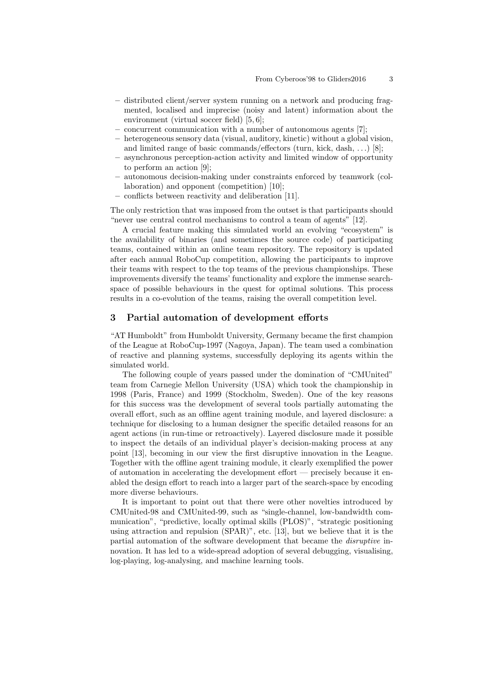- distributed client/server system running on a network and producing fragmented, localised and imprecise (noisy and latent) information about the environment (virtual soccer field) [5, 6];
- concurrent communication with a number of autonomous agents [7];
- heterogeneous sensory data (visual, auditory, kinetic) without a global vision, and limited range of basic commands/effectors (turn, kick, dash, ...) [8];
- asynchronous perception-action activity and limited window of opportunity to perform an action [9];
- autonomous decision-making under constraints enforced by teamwork (collaboration) and opponent (competition) [10];
- conflicts between reactivity and deliberation [11].

The only restriction that was imposed from the outset is that participants should "never use central control mechanisms to control a team of agents" [12].

A crucial feature making this simulated world an evolving "ecosystem" is the availability of binaries (and sometimes the source code) of participating teams, contained within an online team repository. The repository is updated after each annual RoboCup competition, allowing the participants to improve their teams with respect to the top teams of the previous championships. These improvements diversify the teams' functionality and explore the immense searchspace of possible behaviours in the quest for optimal solutions. This process results in a co-evolution of the teams, raising the overall competition level.

# 3 Partial automation of development efforts

"AT Humboldt" from Humboldt University, Germany became the first champion of the League at RoboCup-1997 (Nagoya, Japan). The team used a combination of reactive and planning systems, successfully deploying its agents within the simulated world.

The following couple of years passed under the domination of "CMUnited" team from Carnegie Mellon University (USA) which took the championship in 1998 (Paris, France) and 1999 (Stockholm, Sweden). One of the key reasons for this success was the development of several tools partially automating the overall effort, such as an offline agent training module, and layered disclosure: a technique for disclosing to a human designer the specific detailed reasons for an agent actions (in run-time or retroactively). Layered disclosure made it possible to inspect the details of an individual player's decision-making process at any point [13], becoming in our view the first disruptive innovation in the League. Together with the offline agent training module, it clearly exemplified the power of automation in accelerating the development effort — precisely because it enabled the design effort to reach into a larger part of the search-space by encoding more diverse behaviours.

It is important to point out that there were other novelties introduced by CMUnited-98 and CMUnited-99, such as "single-channel, low-bandwidth communication", "predictive, locally optimal skills (PLOS)", "strategic positioning using attraction and repulsion (SPAR)", etc. [13], but we believe that it is the partial automation of the software development that became the disruptive innovation. It has led to a wide-spread adoption of several debugging, visualising, log-playing, log-analysing, and machine learning tools.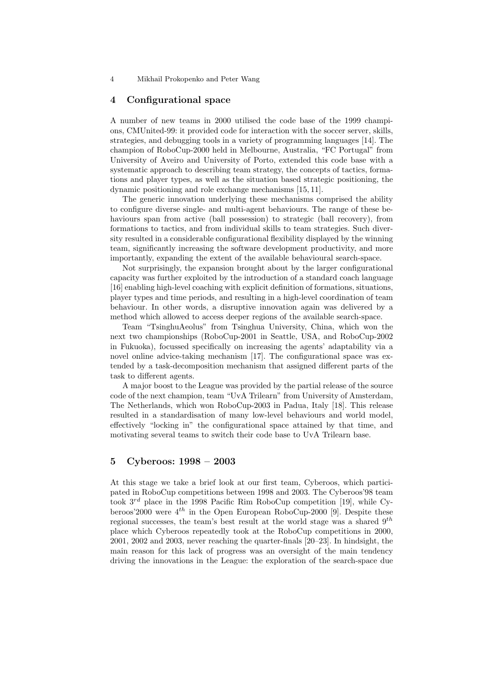### 4 Configurational space

A number of new teams in 2000 utilised the code base of the 1999 champions, CMUnited-99: it provided code for interaction with the soccer server, skills, strategies, and debugging tools in a variety of programming languages [14]. The champion of RoboCup-2000 held in Melbourne, Australia, "FC Portugal" from University of Aveiro and University of Porto, extended this code base with a systematic approach to describing team strategy, the concepts of tactics, formations and player types, as well as the situation based strategic positioning, the dynamic positioning and role exchange mechanisms [15, 11].

The generic innovation underlying these mechanisms comprised the ability to configure diverse single- and multi-agent behaviours. The range of these behaviours span from active (ball possession) to strategic (ball recovery), from formations to tactics, and from individual skills to team strategies. Such diversity resulted in a considerable configurational flexibility displayed by the winning team, significantly increasing the software development productivity, and more importantly, expanding the extent of the available behavioural search-space.

Not surprisingly, the expansion brought about by the larger configurational capacity was further exploited by the introduction of a standard coach language [16] enabling high-level coaching with explicit definition of formations, situations, player types and time periods, and resulting in a high-level coordination of team behaviour. In other words, a disruptive innovation again was delivered by a method which allowed to access deeper regions of the available search-space.

Team "TsinghuAeolus" from Tsinghua University, China, which won the next two championships (RoboCup-2001 in Seattle, USA, and RoboCup-2002 in Fukuoka), focussed specifically on increasing the agents' adaptability via a novel online advice-taking mechanism [17]. The configurational space was extended by a task-decomposition mechanism that assigned different parts of the task to different agents.

A major boost to the League was provided by the partial release of the source code of the next champion, team "UvA Trilearn" from University of Amsterdam, The Netherlands, which won RoboCup-2003 in Padua, Italy [18]. This release resulted in a standardisation of many low-level behaviours and world model, effectively "locking in" the configurational space attained by that time, and motivating several teams to switch their code base to UvA Trilearn base.

# 5 Cyberoos: 1998 – 2003

At this stage we take a brief look at our first team, Cyberoos, which participated in RoboCup competitions between 1998 and 2003. The Cyberoos'98 team took  $3^{rd}$  place in the 1998 Pacific Rim RoboCup competition [19], while Cyberoos'2000 were  $4^{th}$  in the Open European RoboCup-2000 [9]. Despite these regional successes, the team's best result at the world stage was a shared  $9<sup>th</sup>$ place which Cyberoos repeatedly took at the RoboCup competitions in 2000, 2001, 2002 and 2003, never reaching the quarter-finals [20–23]. In hindsight, the main reason for this lack of progress was an oversight of the main tendency driving the innovations in the League: the exploration of the search-space due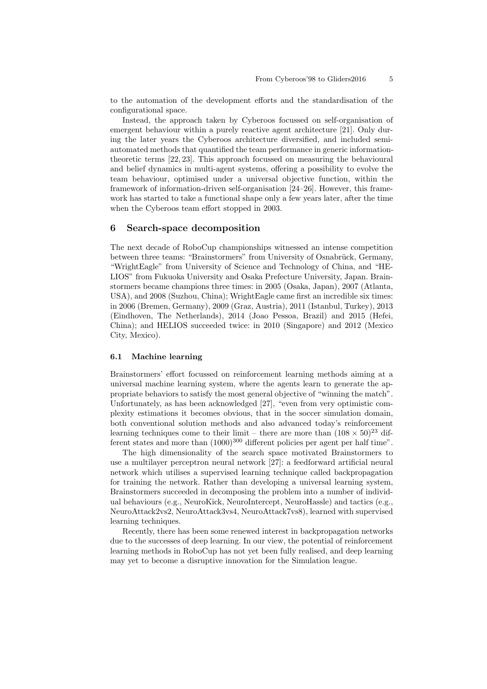to the automation of the development efforts and the standardisation of the configurational space.

Instead, the approach taken by Cyberoos focussed on self-organisation of emergent behaviour within a purely reactive agent architecture [21]. Only during the later years the Cyberoos architecture diversified, and included semiautomated methods that quantified the team performance in generic informationtheoretic terms [22, 23]. This approach focussed on measuring the behavioural and belief dynamics in multi-agent systems, offering a possibility to evolve the team behaviour, optimised under a universal objective function, within the framework of information-driven self-organisation [24–26]. However, this framework has started to take a functional shape only a few years later, after the time when the Cyberoos team effort stopped in 2003.

### 6 Search-space decomposition

The next decade of RoboCup championships witnessed an intense competition between three teams: "Brainstormers" from University of Osnabrück, Germany, "WrightEagle" from University of Science and Technology of China, and "HE-LIOS" from Fukuoka University and Osaka Prefecture University, Japan. Brainstormers became champions three times: in 2005 (Osaka, Japan), 2007 (Atlanta, USA), and 2008 (Suzhou, China); WrightEagle came first an incredible six times: in 2006 (Bremen, Germany), 2009 (Graz, Austria), 2011 (Istanbul, Turkey), 2013 (Eindhoven, The Netherlands), 2014 (Joao Pessoa, Brazil) and 2015 (Hefei, China); and HELIOS succeeded twice: in 2010 (Singapore) and 2012 (Mexico City, Mexico).

### 6.1 Machine learning

Brainstormers' effort focussed on reinforcement learning methods aiming at a universal machine learning system, where the agents learn to generate the appropriate behaviors to satisfy the most general objective of "winning the match". Unfortunately, as has been acknowledged [27], "even from very optimistic complexity estimations it becomes obvious, that in the soccer simulation domain, both conventional solution methods and also advanced today's reinforcement learning techniques come to their limit – there are more than  $(108 \times 50)^{23}$  different states and more than  $(1000)^{300}$  different policies per agent per half time".

The high dimensionality of the search space motivated Brainstormers to use a multilayer perceptron neural network [27]: a feedforward artificial neural network which utilises a supervised learning technique called backpropagation for training the network. Rather than developing a universal learning system, Brainstormers succeeded in decomposing the problem into a number of individual behaviours (e.g., NeuroKick, NeuroIntercept, NeuroHassle) and tactics (e.g., NeuroAttack2vs2, NeuroAttack3vs4, NeuroAttack7vs8), learned with supervised learning techniques.

Recently, there has been some renewed interest in backpropagation networks due to the successes of deep learning. In our view, the potential of reinforcement learning methods in RoboCup has not yet been fully realised, and deep learning may yet to become a disruptive innovation for the Simulation league.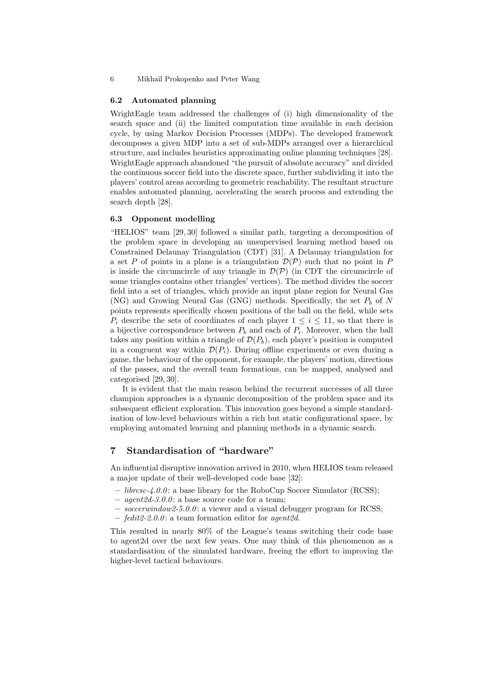#### 6.2 Automated planning

WrightEagle team addressed the challenges of (i) high dimensionality of the search space and (ii) the limited computation time available in each decision cycle, by using Markov Decision Processes (MDPs). The developed framework decomposes a given MDP into a set of sub-MDPs arranged over a hierarchical structure, and includes heuristics approximating online planning techniques [28]. WrightEagle approach abandoned "the pursuit of absolute accuracy" and divided the continuous soccer field into the discrete space, further subdividing it into the players' control areas according to geometric reachability. The resultant structure enables automated planning, accelerating the search process and extending the search depth [28].

# 6.3 Opponent modelling

"HELIOS" team [29, 30] followed a similar path, targeting a decomposition of the problem space in developing an unsupervised learning method based on Constrained Delaunay Triangulation (CDT) [31]. A Delaunay triangulation for a set P of points in a plane is a triangulation  $\mathcal{D}(\mathcal{P})$  such that no point in P is inside the circumcircle of any triangle in  $\mathcal{D}(\mathcal{P})$  (in CDT the circumcircle of some triangles contains other triangles' vertices). The method divides the soccer field into a set of triangles, which provide an input plane region for Neural Gas (NG) and Growing Neural Gas (GNG) methods. Specifically, the set  $P_b$  of N points represents specifically chosen positions of the ball on the field, while sets  $P_i$  describe the sets of coordinates of each player  $1 \leq i \leq 11$ , so that there is a bijective correspondence between  $P_b$  and each of  $P_i$ . Moreover, when the ball takes any position within a triangle of  $\mathcal{D}(P_b)$ , each player's position is computed in a congruent way within  $\mathcal{D}(P_i)$ . During offline experiments or even during a game, the behaviour of the opponent, for example, the players' motion, directions of the passes, and the overall team formations, can be mapped, analysed and categorised [29, 30].

It is evident that the main reason behind the recurrent successes of all three champion approaches is a dynamic decomposition of the problem space and its subsequent efficient exploration. This innovation goes beyond a simple standardisation of low-level behaviours within a rich but static configurational space, by employing automated learning and planning methods in a dynamic search.

# 7 Standardisation of "hardware"

An influential disruptive innovation arrived in 2010, when HELIOS team released a major update of their well-developed code base [32]:

- librcsc-4.0.0: a base library for the RoboCup Soccer Simulator (RCSS);
- agent2d-3.0.0 : a base source code for a team;
- soccerwindow2-5.0.0: a viewer and a visual debugger program for RCSS;
- fedit2-2.0.0: a team formation editor for  $agent2d$ .

This resulted in nearly 80% of the League's teams switching their code base to agent2d over the next few years. One may think of this phenomenon as a standardisation of the simulated hardware, freeing the effort to improving the higher-level tactical behaviours.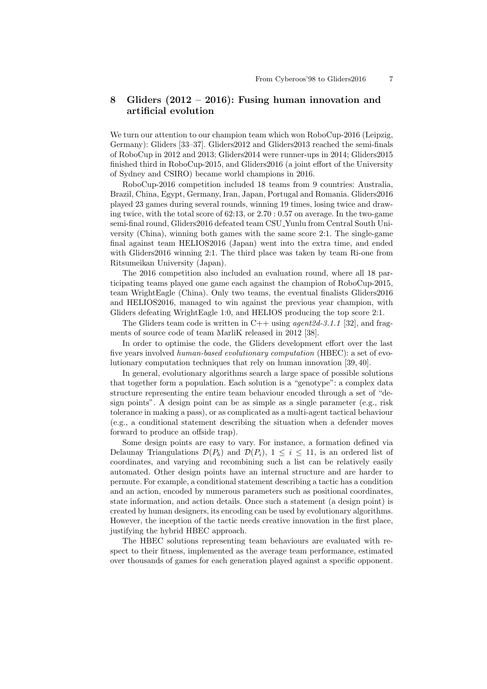# 8 Gliders (2012 – 2016): Fusing human innovation and artificial evolution

We turn our attention to our champion team which won RoboCup-2016 (Leipzig, Germany): Gliders [33–37]. Gliders2012 and Gliders2013 reached the semi-finals of RoboCup in 2012 and 2013; Gliders2014 were runner-ups in 2014; Gliders2015 finished third in RoboCup-2015, and Gliders2016 (a joint effort of the University of Sydney and CSIRO) became world champions in 2016.

RoboCup-2016 competition included 18 teams from 9 countries: Australia, Brazil, China, Egypt, Germany, Iran, Japan, Portugal and Romania. Gliders2016 played 23 games during several rounds, winning 19 times, losing twice and drawing twice, with the total score of 62:13, or 2.70 : 0.57 on average. In the two-game semi-final round, Gliders2016 defeated team CSU Yunlu from Central South University (China), winning both games with the same score 2:1. The single-game final against team HELIOS2016 (Japan) went into the extra time, and ended with Gliders2016 winning 2:1. The third place was taken by team Ri-one from Ritsumeikan University (Japan).

The 2016 competition also included an evaluation round, where all 18 participating teams played one game each against the champion of RoboCup-2015, team WrightEagle (China). Only two teams, the eventual finalists Gliders2016 and HELIOS2016, managed to win against the previous year champion, with Gliders defeating WrightEagle 1:0, and HELIOS producing the top score 2:1.

The Gliders team code is written in C++ using *agent 2d-3.1.1* [32], and fragments of source code of team MarliK released in 2012 [38].

In order to optimise the code, the Gliders development effort over the last five years involved human-based evolutionary computation (HBEC): a set of evolutionary computation techniques that rely on human innovation [39, 40].

In general, evolutionary algorithms search a large space of possible solutions that together form a population. Each solution is a "genotype": a complex data structure representing the entire team behaviour encoded through a set of "design points". A design point can be as simple as a single parameter (e.g., risk tolerance in making a pass), or as complicated as a multi-agent tactical behaviour (e.g., a conditional statement describing the situation when a defender moves forward to produce an offside trap).

Some design points are easy to vary. For instance, a formation defined via Delaunay Triangulations  $\mathcal{D}(P_b)$  and  $\mathcal{D}(P_i)$ ,  $1 \leq i \leq 11$ , is an ordered list of coordinates, and varying and recombining such a list can be relatively easily automated. Other design points have an internal structure and are harder to permute. For example, a conditional statement describing a tactic has a condition and an action, encoded by numerous parameters such as positional coordinates, state information, and action details. Once such a statement (a design point) is created by human designers, its encoding can be used by evolutionary algorithms. However, the inception of the tactic needs creative innovation in the first place, justifying the hybrid HBEC approach.

The HBEC solutions representing team behaviours are evaluated with respect to their fitness, implemented as the average team performance, estimated over thousands of games for each generation played against a specific opponent.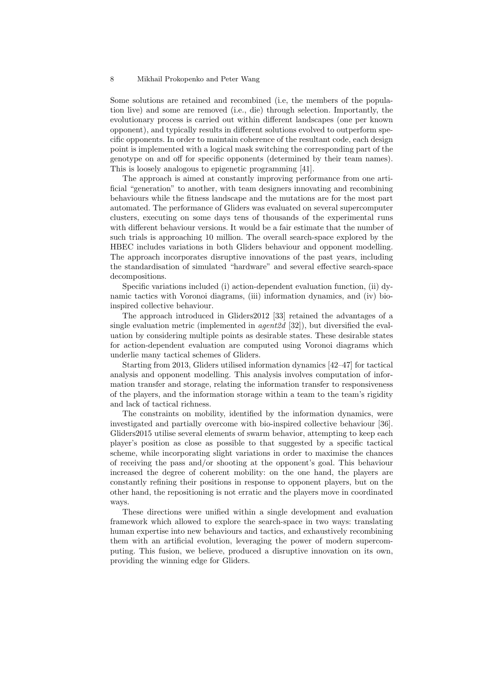Some solutions are retained and recombined (i.e, the members of the population live) and some are removed (i.e., die) through selection. Importantly, the evolutionary process is carried out within different landscapes (one per known opponent), and typically results in different solutions evolved to outperform specific opponents. In order to maintain coherence of the resultant code, each design point is implemented with a logical mask switching the corresponding part of the genotype on and off for specific opponents (determined by their team names). This is loosely analogous to epigenetic programming [41].

The approach is aimed at constantly improving performance from one artificial "generation" to another, with team designers innovating and recombining behaviours while the fitness landscape and the mutations are for the most part automated. The performance of Gliders was evaluated on several supercomputer clusters, executing on some days tens of thousands of the experimental runs with different behaviour versions. It would be a fair estimate that the number of such trials is approaching 10 million. The overall search-space explored by the HBEC includes variations in both Gliders behaviour and opponent modelling. The approach incorporates disruptive innovations of the past years, including the standardisation of simulated "hardware" and several effective search-space decompositions.

Specific variations included (i) action-dependent evaluation function, (ii) dynamic tactics with Voronoi diagrams, (iii) information dynamics, and (iv) bioinspired collective behaviour.

The approach introduced in Gliders2012 [33] retained the advantages of a single evaluation metric (implemented in *agent2d* [32]), but diversified the evaluation by considering multiple points as desirable states. These desirable states for action-dependent evaluation are computed using Voronoi diagrams which underlie many tactical schemes of Gliders.

Starting from 2013, Gliders utilised information dynamics [42–47] for tactical analysis and opponent modelling. This analysis involves computation of information transfer and storage, relating the information transfer to responsiveness of the players, and the information storage within a team to the team's rigidity and lack of tactical richness.

The constraints on mobility, identified by the information dynamics, were investigated and partially overcome with bio-inspired collective behaviour [36]. Gliders2015 utilise several elements of swarm behavior, attempting to keep each player's position as close as possible to that suggested by a specific tactical scheme, while incorporating slight variations in order to maximise the chances of receiving the pass and/or shooting at the opponent's goal. This behaviour increased the degree of coherent mobility: on the one hand, the players are constantly refining their positions in response to opponent players, but on the other hand, the repositioning is not erratic and the players move in coordinated ways.

These directions were unified within a single development and evaluation framework which allowed to explore the search-space in two ways: translating human expertise into new behaviours and tactics, and exhaustively recombining them with an artificial evolution, leveraging the power of modern supercomputing. This fusion, we believe, produced a disruptive innovation on its own, providing the winning edge for Gliders.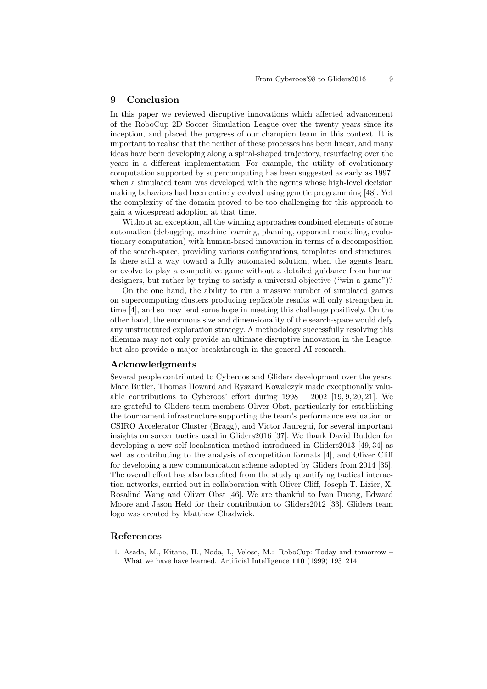### 9 Conclusion

In this paper we reviewed disruptive innovations which affected advancement of the RoboCup 2D Soccer Simulation League over the twenty years since its inception, and placed the progress of our champion team in this context. It is important to realise that the neither of these processes has been linear, and many ideas have been developing along a spiral-shaped trajectory, resurfacing over the years in a different implementation. For example, the utility of evolutionary computation supported by supercomputing has been suggested as early as 1997, when a simulated team was developed with the agents whose high-level decision making behaviors had been entirely evolved using genetic programming [48]. Yet the complexity of the domain proved to be too challenging for this approach to gain a widespread adoption at that time.

Without an exception, all the winning approaches combined elements of some automation (debugging, machine learning, planning, opponent modelling, evolutionary computation) with human-based innovation in terms of a decomposition of the search-space, providing various configurations, templates and structures. Is there still a way toward a fully automated solution, when the agents learn or evolve to play a competitive game without a detailed guidance from human designers, but rather by trying to satisfy a universal objective ("win a game")?

On the one hand, the ability to run a massive number of simulated games on supercomputing clusters producing replicable results will only strengthen in time [4], and so may lend some hope in meeting this challenge positively. On the other hand, the enormous size and dimensionality of the search-space would defy any unstructured exploration strategy. A methodology successfully resolving this dilemma may not only provide an ultimate disruptive innovation in the League, but also provide a major breakthrough in the general AI research.

# Acknowledgments

Several people contributed to Cyberoos and Gliders development over the years. Marc Butler, Thomas Howard and Ryszard Kowalczyk made exceptionally valuable contributions to Cyberoos' effort during  $1998 - 2002$  [19, 9, 20, 21]. We are grateful to Gliders team members Oliver Obst, particularly for establishing the tournament infrastructure supporting the team's performance evaluation on CSIRO Accelerator Cluster (Bragg), and Victor Jauregui, for several important insights on soccer tactics used in Gliders2016 [37]. We thank David Budden for developing a new self-localisation method introduced in Gliders2013 [49, 34] as well as contributing to the analysis of competition formats [4], and Oliver Cliff for developing a new communication scheme adopted by Gliders from 2014 [35]. The overall effort has also benefited from the study quantifying tactical interaction networks, carried out in collaboration with Oliver Cliff, Joseph T. Lizier, X. Rosalind Wang and Oliver Obst [46]. We are thankful to Ivan Duong, Edward Moore and Jason Held for their contribution to Gliders2012 [33]. Gliders team logo was created by Matthew Chadwick.

### References

1. Asada, M., Kitano, H., Noda, I., Veloso, M.: RoboCup: Today and tomorrow – What we have have learned. Artificial Intelligence 110 (1999) 193–214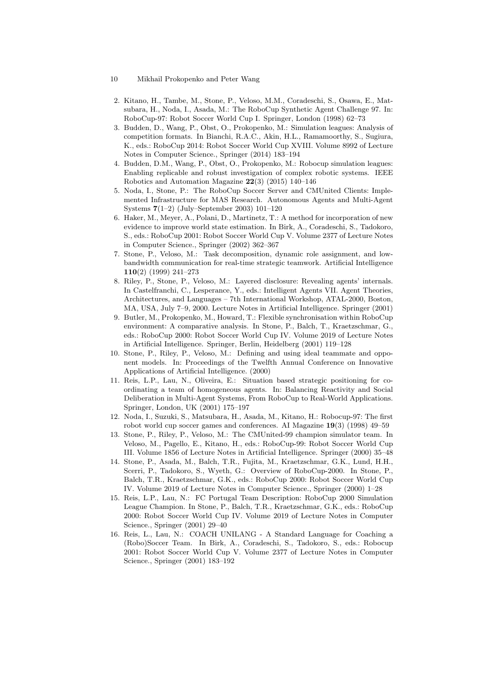- 2. Kitano, H., Tambe, M., Stone, P., Veloso, M.M., Coradeschi, S., Osawa, E., Matsubara, H., Noda, I., Asada, M.: The RoboCup Synthetic Agent Challenge 97. In: RoboCup-97: Robot Soccer World Cup I. Springer, London (1998) 62–73
- 3. Budden, D., Wang, P., Obst, O., Prokopenko, M.: Simulation leagues: Analysis of competition formats. In Bianchi, R.A.C., Akin, H.L., Ramamoorthy, S., Sugiura, K., eds.: RoboCup 2014: Robot Soccer World Cup XVIII. Volume 8992 of Lecture Notes in Computer Science., Springer (2014) 183–194
- 4. Budden, D.M., Wang, P., Obst, O., Prokopenko, M.: Robocup simulation leagues: Enabling replicable and robust investigation of complex robotic systems. IEEE Robotics and Automation Magazine 22(3) (2015) 140–146
- 5. Noda, I., Stone, P.: The RoboCup Soccer Server and CMUnited Clients: Implemented Infrastructure for MAS Research. Autonomous Agents and Multi-Agent Systems 7(1–2) (July–September 2003) 101–120
- 6. Haker, M., Meyer, A., Polani, D., Martinetz, T.: A method for incorporation of new evidence to improve world state estimation. In Birk, A., Coradeschi, S., Tadokoro, S., eds.: RoboCup 2001: Robot Soccer World Cup V. Volume 2377 of Lecture Notes in Computer Science., Springer (2002) 362–367
- 7. Stone, P., Veloso, M.: Task decomposition, dynamic role assignment, and lowbandwidth communication for real-time strategic teamwork. Artificial Intelligence 110(2) (1999) 241–273
- 8. Riley, P., Stone, P., Veloso, M.: Layered disclosure: Revealing agents' internals. In Castelfranchi, C., Lesperance, Y., eds.: Intelligent Agents VII. Agent Theories, Architectures, and Languages – 7th International Workshop, ATAL-2000, Boston, MA, USA, July 7–9, 2000. Lecture Notes in Artificial Intelligence. Springer (2001)
- 9. Butler, M., Prokopenko, M., Howard, T.: Flexible synchronisation within RoboCup environment: A comparative analysis. In Stone, P., Balch, T., Kraetzschmar, G., eds.: RoboCup 2000: Robot Soccer World Cup IV. Volume 2019 of Lecture Notes in Artificial Intelligence. Springer, Berlin, Heidelberg (2001) 119–128
- 10. Stone, P., Riley, P., Veloso, M.: Defining and using ideal teammate and opponent models. In: Proceedings of the Twelfth Annual Conference on Innovative Applications of Artificial Intelligence. (2000)
- 11. Reis, L.P., Lau, N., Oliveira, E.: Situation based strategic positioning for coordinating a team of homogeneous agents. In: Balancing Reactivity and Social Deliberation in Multi-Agent Systems, From RoboCup to Real-World Applications. Springer, London, UK (2001) 175–197
- 12. Noda, I., Suzuki, S., Matsubara, H., Asada, M., Kitano, H.: Robocup-97: The first robot world cup soccer games and conferences. AI Magazine 19(3) (1998) 49–59
- 13. Stone, P., Riley, P., Veloso, M.: The CMUnited-99 champion simulator team. In Veloso, M., Pagello, E., Kitano, H., eds.: RoboCup-99: Robot Soccer World Cup III. Volume 1856 of Lecture Notes in Artificial Intelligence. Springer (2000) 35–48
- 14. Stone, P., Asada, M., Balch, T.R., Fujita, M., Kraetzschmar, G.K., Lund, H.H., Scerri, P., Tadokoro, S., Wyeth, G.: Overview of RoboCup-2000. In Stone, P., Balch, T.R., Kraetzschmar, G.K., eds.: RoboCup 2000: Robot Soccer World Cup IV. Volume 2019 of Lecture Notes in Computer Science., Springer (2000) 1–28
- 15. Reis, L.P., Lau, N.: FC Portugal Team Description: RoboCup 2000 Simulation League Champion. In Stone, P., Balch, T.R., Kraetzschmar, G.K., eds.: RoboCup 2000: Robot Soccer World Cup IV. Volume 2019 of Lecture Notes in Computer Science., Springer (2001) 29–40
- 16. Reis, L., Lau, N.: COACH UNILANG A Standard Language for Coaching a (Robo)Soccer Team. In Birk, A., Coradeschi, S., Tadokoro, S., eds.: Robocup 2001: Robot Soccer World Cup V. Volume 2377 of Lecture Notes in Computer Science., Springer (2001) 183–192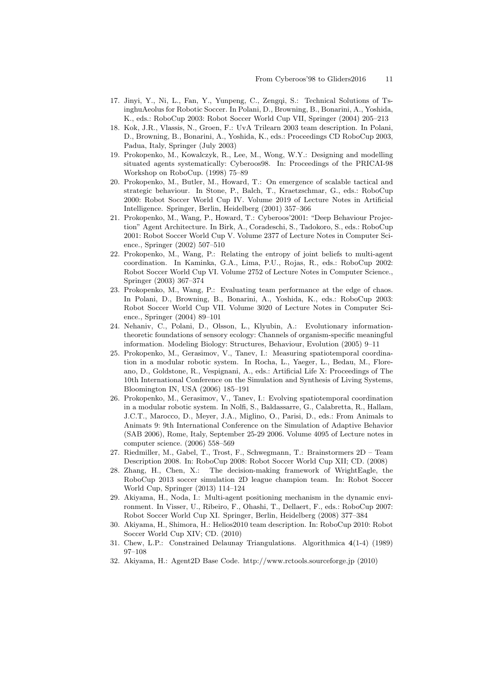- 17. Jinyi, Y., Ni, L., Fan, Y., Yunpeng, C., Zengqi, S.: Technical Solutions of TsinghuAeolus for Robotic Soccer. In Polani, D., Browning, B., Bonarini, A., Yoshida, K., eds.: RoboCup 2003: Robot Soccer World Cup VII, Springer (2004) 205–213
- 18. Kok, J.R., Vlassis, N., Groen, F.: UvA Trilearn 2003 team description. In Polani, D., Browning, B., Bonarini, A., Yoshida, K., eds.: Proceedings CD RoboCup 2003, Padua, Italy, Springer (July 2003)
- 19. Prokopenko, M., Kowalczyk, R., Lee, M., Wong, W.Y.: Designing and modelling situated agents systematically: Cyberoos98. In: Proceedings of the PRICAI-98 Workshop on RoboCup. (1998) 75–89
- 20. Prokopenko, M., Butler, M., Howard, T.: On emergence of scalable tactical and strategic behaviour. In Stone, P., Balch, T., Kraetzschmar, G., eds.: RoboCup 2000: Robot Soccer World Cup IV. Volume 2019 of Lecture Notes in Artificial Intelligence. Springer, Berlin, Heidelberg (2001) 357–366
- 21. Prokopenko, M., Wang, P., Howard, T.: Cyberoos'2001: "Deep Behaviour Projection" Agent Architecture. In Birk, A., Coradeschi, S., Tadokoro, S., eds.: RoboCup 2001: Robot Soccer World Cup V. Volume 2377 of Lecture Notes in Computer Science., Springer (2002) 507–510
- 22. Prokopenko, M., Wang, P.: Relating the entropy of joint beliefs to multi-agent coordination. In Kaminka, G.A., Lima, P.U., Rojas, R., eds.: RoboCup 2002: Robot Soccer World Cup VI. Volume 2752 of Lecture Notes in Computer Science., Springer (2003) 367–374
- 23. Prokopenko, M., Wang, P.: Evaluating team performance at the edge of chaos. In Polani, D., Browning, B., Bonarini, A., Yoshida, K., eds.: RoboCup 2003: Robot Soccer World Cup VII. Volume 3020 of Lecture Notes in Computer Science., Springer (2004) 89–101
- 24. Nehaniv, C., Polani, D., Olsson, L., Klyubin, A.: Evolutionary informationtheoretic foundations of sensory ecology: Channels of organism-specific meaningful information. Modeling Biology: Structures, Behaviour, Evolution (2005) 9–11
- 25. Prokopenko, M., Gerasimov, V., Tanev, I.: Measuring spatiotemporal coordination in a modular robotic system. In Rocha, L., Yaeger, L., Bedau, M., Floreano, D., Goldstone, R., Vespignani, A., eds.: Artificial Life X: Proceedings of The 10th International Conference on the Simulation and Synthesis of Living Systems, Bloomington IN, USA (2006) 185–191
- 26. Prokopenko, M., Gerasimov, V., Tanev, I.: Evolving spatiotemporal coordination in a modular robotic system. In Nolfi, S., Baldassarre, G., Calabretta, R., Hallam, J.C.T., Marocco, D., Meyer, J.A., Miglino, O., Parisi, D., eds.: From Animals to Animats 9: 9th International Conference on the Simulation of Adaptive Behavior (SAB 2006), Rome, Italy, September 25-29 2006. Volume 4095 of Lecture notes in computer science. (2006) 558–569
- 27. Riedmiller, M., Gabel, T., Trost, F., Schwegmann, T.: Brainstormers 2D Team Description 2008. In: RoboCup 2008: Robot Soccer World Cup XII; CD. (2008)
- 28. Zhang, H., Chen, X.: The decision-making framework of WrightEagle, the RoboCup 2013 soccer simulation 2D league champion team. In: Robot Soccer World Cup, Springer (2013) 114–124
- 29. Akiyama, H., Noda, I.: Multi-agent positioning mechanism in the dynamic environment. In Visser, U., Ribeiro, F., Ohashi, T., Dellaert, F., eds.: RoboCup 2007: Robot Soccer World Cup XI. Springer, Berlin, Heidelberg (2008) 377–384
- 30. Akiyama, H., Shimora, H.: Helios2010 team description. In: RoboCup 2010: Robot Soccer World Cup XIV; CD. (2010)
- 31. Chew, L.P.: Constrained Delaunay Triangulations. Algorithmica 4(1-4) (1989) 97–108
- 32. Akiyama, H.: Agent2D Base Code. http://www.rctools.sourceforge.jp (2010)